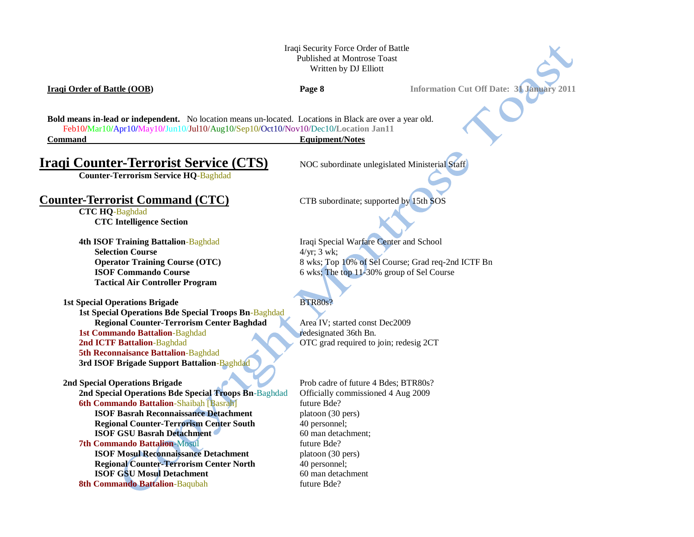## Iraqi Security Force Order of Battle Published at Montrose Toast Written by DJ Elliott

**Iraqi Order of Battle (OOB) Page 8 Information Cut Off Date: 31 January 2011**

**Bold means in-lead or independent.** No location means un-located. Locations in Black are over a year old. Feb10**/**Mar10**/**Apr10**/**May10**/**Jun10/Jul10/Aug10/Sep10**/**Oct10/Nov10/Dec10**/Location Jan11 Command Equipment/Notes**

# **Iraqi Counter-Terrorist Service (CTS)** NOC subordinate unlegislated Ministerial Staff

**Counter-Terrorism Service HQ**-Baghdad

## **Counter-Terrorist Command (CTC)** CTB subordinate; supported by 15th SOS

**CTC HQ**-Baghdad **CTC Intelligence Section**

# **Selection Course** 4/yr; 3 wk; **Tactical Air Controller Program**

### **1st Special Operations Brigade** BTR80s?

**1st Special Operations Bde Special Troops Bn**-Baghdad **Regional Counter-Terrorism Center Baghdad** Area IV; started const Dec2009 **1st Commando Battalion-Baghdad redesignated 36th Bn. 2nd ICTF Battalion**-Baghdad **OTC** grad required to join; redesig 2CT **5th Reconnaisance Battalion**-Baghdad **3rd ISOF Brigade Support Battalion**-Baghdad

**2nd Special Operations Bde Special Troops Bn**-Baghdad Officially commissioned 4 Aug 2009 **6th Commando Battalion-Shaibah [Basrah]** future Bde? **ISOF Basrah Reconnaissance Detachment** platoon (30 pers) **Regional Counter-Terrorism Center South** 40 personnel; **ISOF GSU Basrah Detachment** 60 man detachment; **7th Commando Battalion-Mosul and the commando Battalion-Mosul future Bde? ISOF Mosul Reconnaissance Detachment** platoon (30 pers) **Regional Counter-Terrorism Center North** 40 personnel: **ISOF GSU Mosul Detachment** 60 man detachment

**8th Commando Battalion-Baqubah future Bde?** 

**4th ISOF Training Battalion-Baghdad** Iraqi Special Warfare Center and School **Operator Training Course (OTC)** 8 wks; Top 10% of Sel Course; Grad req-2nd ICTF Bn **ISOF Commando Course** 6 wks; The top 11-30% group of Sel Course

**2nd Special Operations Brigade** Prob cadre of future 4 Bdes; BTR80s?